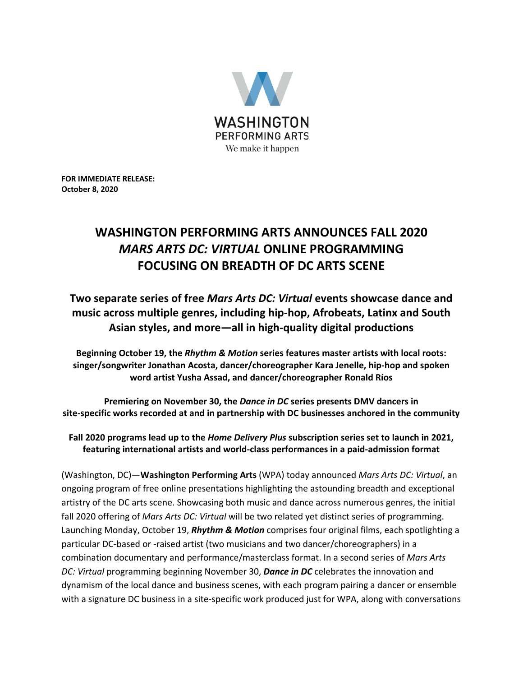

**FOR IMMEDIATE RELEASE: October 8, 2020** 

# **WASHINGTON PERFORMING ARTS ANNOUNCES FALL 2020** *MARS ARTS DC: VIRTUAL* **ONLINE PROGRAMMING FOCUSING ON BREADTH OF DC ARTS SCENE**

**Two separate series of free** *Mars Arts DC: Virtual* **events showcase dance and music across multiple genres, including hip-hop, Afrobeats, Latinx and South Asian styles, and more—all in high-quality digital productions**

**Beginning October 19, the** *Rhythm & Motion* **series features master artists with local roots: singer/songwriter Jonathan Acosta, dancer/choreographer Kara Jenelle, hip-hop and spoken word artist Yusha Assad, and dancer/choreographer Ronald Ríos**

**Premiering on November 30, the** *Dance in DC* **series presents DMV dancers in site-specific works recorded at and in partnership with DC businesses anchored in the community**

**Fall 2020 programs lead up to the** *Home Delivery Plus* **subscription series set to launch in 2021, featuring international artists and world-class performances in a paid-admission format**

(Washington, DC)—**Washington Performing Arts** (WPA) today announced *Mars Arts DC: Virtual*, an ongoing program of free online presentations highlighting the astounding breadth and exceptional artistry of the DC arts scene. Showcasing both music and dance across numerous genres, the initial fall 2020 offering of *Mars Arts DC: Virtual* will be two related yet distinct series of programming. Launching Monday, October 19, *Rhythm & Motion* comprises four original films, each spotlighting a particular DC-based or -raised artist (two musicians and two dancer/choreographers) in a combination documentary and performance/masterclass format. In a second series of *Mars Arts DC: Virtual* programming beginning November 30, *Dance in DC* celebrates the innovation and dynamism of the local dance and business scenes, with each program pairing a dancer or ensemble with a signature DC business in a site-specific work produced just for WPA, along with conversations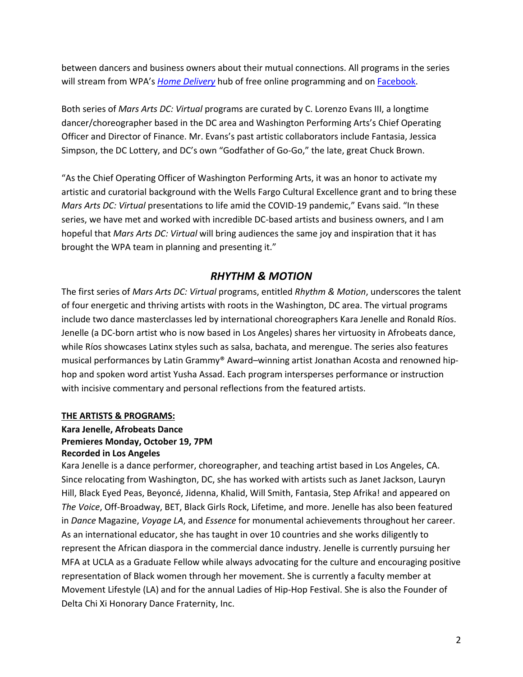between dancers and business owners about their mutual connections. All programs in the series will stream from WPA's *[Home Delivery](https://www.washingtonperformingarts.org/seasontickets/home-delivery/)* hub of free online programming and on [Facebook.](https://www.facebook.com/WashingtonPerformingArtsSociety/)

Both series of *Mars Arts DC: Virtual* programs are curated by C. Lorenzo Evans III, a longtime dancer/choreographer based in the DC area and Washington Performing Arts's Chief Operating Officer and Director of Finance. Mr. Evans's past artistic collaborators include Fantasia, Jessica Simpson, the DC Lottery, and DC's own "Godfather of Go-Go," the late, great Chuck Brown.

"As the Chief Operating Officer of Washington Performing Arts, it was an honor to activate my artistic and curatorial background with the Wells Fargo Cultural Excellence grant and to bring these *Mars Arts DC: Virtual* presentations to life amid the COVID-19 pandemic," Evans said. "In these series, we have met and worked with incredible DC-based artists and business owners, and I am hopeful that *Mars Arts DC: Virtual* will bring audiences the same joy and inspiration that it has brought the WPA team in planning and presenting it."

# *RHYTHM & MOTION*

The first series of *Mars Arts DC: Virtual* programs, entitled *Rhythm & Motion*, underscores the talent of four energetic and thriving artists with roots in the Washington, DC area. The virtual programs include two dance masterclasses led by international choreographers Kara Jenelle and Ronald Ríos. Jenelle (a DC-born artist who is now based in Los Angeles) shares her virtuosity in Afrobeats dance, while Ríos showcases Latinx styles such as salsa, bachata, and merengue. The series also features musical performances by Latin Grammy® Award–winning artist Jonathan Acosta and renowned hiphop and spoken word artist Yusha Assad. Each program intersperses performance or instruction with incisive commentary and personal reflections from the featured artists.

#### **THE ARTISTS & PROGRAMS:**

#### **Kara Jenelle, Afrobeats Dance Premieres Monday, October 19, 7PM Recorded in Los Angeles**

Kara Jenelle is a dance performer, choreographer, and teaching artist based in Los Angeles, CA. Since relocating from Washington, DC, she has worked with artists such as Janet Jackson, Lauryn Hill, Black Eyed Peas, Beyoncé, Jidenna, Khalid, Will Smith, Fantasia, Step Afrika! and appeared on *The Voice*, Off-Broadway, BET, Black Girls Rock, Lifetime, and more. Jenelle has also been featured in *Dance* Magazine, *Voyage LA*, and *Essence* for monumental achievements throughout her career. As an international educator, she has taught in over 10 countries and she works diligently to represent the African diaspora in the commercial dance industry. Jenelle is currently pursuing her MFA at UCLA as a Graduate Fellow while always advocating for the culture and encouraging positive representation of Black women through her movement. She is currently a faculty member at Movement Lifestyle (LA) and for the annual Ladies of Hip-Hop Festival. She is also the Founder of Delta Chi Xi Honorary Dance Fraternity, Inc.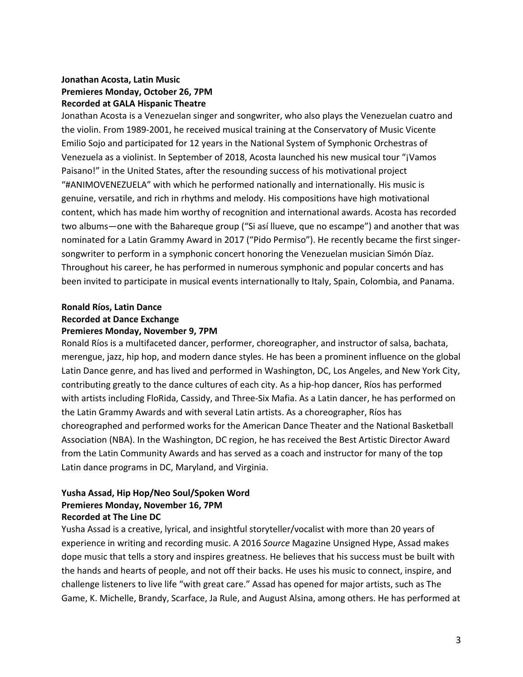## **Jonathan Acosta, Latin Music Premieres Monday, October 26, 7PM Recorded at GALA Hispanic Theatre**

Jonathan Acosta is a Venezuelan singer and songwriter, who also plays the Venezuelan cuatro and the violin. From 1989-2001, he received musical training at the Conservatory of Music Vicente Emilio Sojo and participated for 12 years in the National System of Symphonic Orchestras of Venezuela as a violinist. In September of 2018, Acosta launched his new musical tour "¡Vamos Paisano!" in the United States, after the resounding success of his motivational project "#ANIMOVENEZUELA" with which he performed nationally and internationally. His music is genuine, versatile, and rich in rhythms and melody. His compositions have high motivational content, which has made him worthy of recognition and international awards. Acosta has recorded two albums—one with the Bahareque group ("Si así llueve, que no escampe") and another that was nominated for a Latin Grammy Award in 2017 ("Pido Permiso"). He recently became the first singersongwriter to perform in a symphonic concert honoring the Venezuelan musician Simón Díaz. Throughout his career, he has performed in numerous symphonic and popular concerts and has been invited to participate in musical events internationally to Italy, Spain, Colombia, and Panama.

#### **Ronald Ríos, Latin Dance Recorded at Dance Exchange Premieres Monday, November 9, 7PM**

Ronald Ríos is a multifaceted dancer, performer, choreographer, and instructor of salsa, bachata, merengue, jazz, hip hop, and modern dance styles. He has been a prominent influence on the global Latin Dance genre, and has lived and performed in Washington, DC, Los Angeles, and New York City, contributing greatly to the dance cultures of each city. As a hip-hop dancer, Ríos has performed with artists including FloRida, Cassidy, and Three-Six Mafia. As a Latin dancer, he has performed on the Latin Grammy Awards and with several Latin artists. As a choreographer, Ríos has choreographed and performed works for the American Dance Theater and the National Basketball Association (NBA). In the Washington, DC region, he has received the Best Artistic Director Award from the Latin Community Awards and has served as a coach and instructor for many of the top Latin dance programs in DC, Maryland, and Virginia.

#### **Yusha Assad, Hip Hop/Neo Soul/Spoken Word Premieres Monday, November 16, 7PM Recorded at The Line DC**

Yusha Assad is a creative, lyrical, and insightful storyteller/vocalist with more than 20 years of experience in writing and recording music. A 2016 *Source* Magazine Unsigned Hype, Assad makes dope music that tells a story and inspires greatness. He believes that his success must be built with the hands and hearts of people, and not off their backs. He uses his music to connect, inspire, and challenge listeners to live life "with great care." Assad has opened for major artists, such as The Game, K. Michelle, Brandy, Scarface, Ja Rule, and August Alsina, among others. He has performed at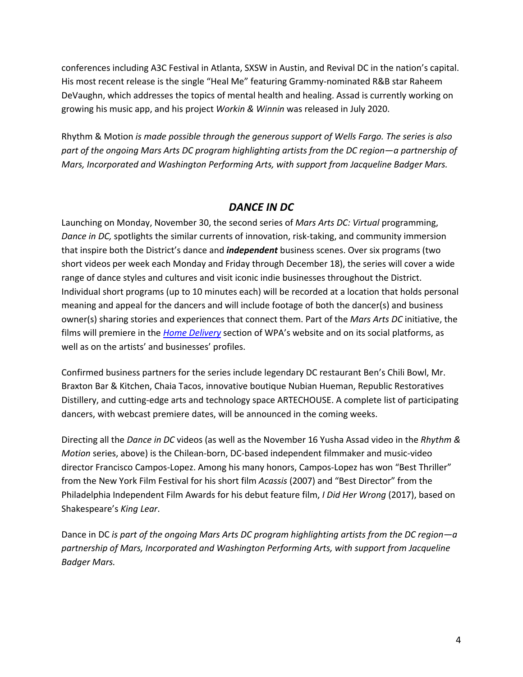conferences including A3C Festival in Atlanta, SXSW in Austin, and Revival DC in the nation's capital. His most recent release is the single "Heal Me" featuring Grammy-nominated R&B star Raheem DeVaughn, which addresses the topics of mental health and healing. Assad is currently working on growing his music app, and his project *Workin & Winnin* was released in July 2020.

Rhythm & Motion *is made possible through the generous support of Wells Fargo. The series is also part of the ongoing Mars Arts DC program highlighting artists from the DC region—a partnership of Mars, Incorporated and Washington Performing Arts, with support from Jacqueline Badger Mars.*

## *DANCE IN DC*

Launching on Monday, November 30, the second series of *Mars Arts DC: Virtual* programming, *Dance in DC,* spotlights the similar currents of innovation, risk-taking, and community immersion that inspire both the District's dance and *independent* business scenes. Over six programs (two short videos per week each Monday and Friday through December 18), the series will cover a wide range of dance styles and cultures and visit iconic indie businesses throughout the District. Individual short programs (up to 10 minutes each) will be recorded at a location that holds personal meaning and appeal for the dancers and will include footage of both the dancer(s) and business owner(s) sharing stories and experiences that connect them. Part of the *Mars Arts DC* initiative, the films will premiere in the *[Home Delivery](https://www.washingtonperformingarts.org/seasontickets/home-delivery/)* section of WPA's website and on its social platforms, as well as on the artists' and businesses' profiles.

Confirmed business partners for the series include legendary DC restaurant Ben's Chili Bowl, Mr. Braxton Bar & Kitchen, Chaia Tacos, innovative boutique Nubian Hueman, Republic Restoratives Distillery, and cutting-edge arts and technology space ARTECHOUSE. A complete list of participating dancers, with webcast premiere dates, will be announced in the coming weeks.

Directing all the *Dance in DC* videos (as well as the November 16 Yusha Assad video in the *Rhythm & Motion* series, above) is the Chilean-born, DC-based independent filmmaker and music-video director Francisco Campos-Lopez. Among his many honors, Campos-Lopez has won "Best Thriller" from the New York Film Festival for his short film *Acassis* (2007) and "Best Director" from the Philadelphia Independent Film Awards for his debut feature film, *I Did Her Wrong* (2017), based on Shakespeare's *King Lear*.

Dance in DC *is part of the ongoing Mars Arts DC program highlighting artists from the DC region—a partnership of Mars, Incorporated and Washington Performing Arts, with support from Jacqueline Badger Mars.*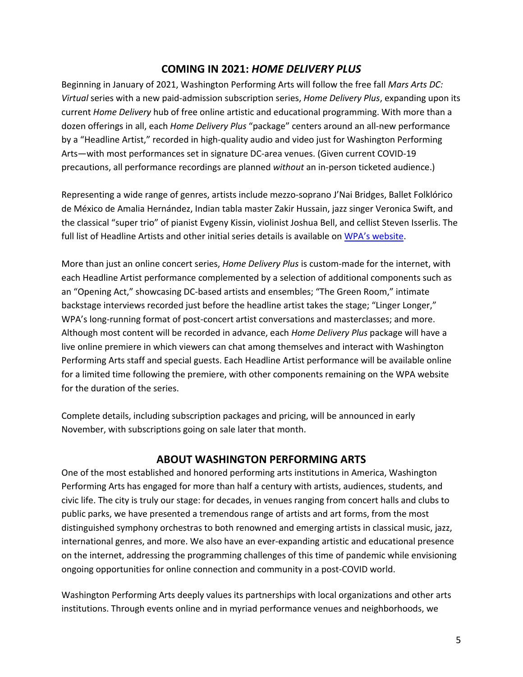## **COMING IN 2021:** *HOME DELIVERY PLUS*

Beginning in January of 2021, Washington Performing Arts will follow the free fall *Mars Arts DC: Virtual* series with a new paid-admission subscription series, *Home Delivery Plus*, expanding upon its current *Home Delivery* hub of free online artistic and educational programming. With more than a dozen offerings in all, each *Home Delivery Plus* "package" centers around an all-new performance by a "Headline Artist," recorded in high-quality audio and video just for Washington Performing Arts—with most performances set in signature DC-area venues. (Given current COVID-19 precautions, all performance recordings are planned *without* an in-person ticketed audience.)

Representing a wide range of genres, artists include mezzo-soprano J'Nai Bridges, Ballet Folklórico de México de Amalia Hernández, Indian tabla master Zakir Hussain, jazz singer Veronica Swift, and the classical "super trio" of pianist Evgeny Kissin, violinist Joshua Bell, and cellist Steven Isserlis. The full list of Headline Artists and other initial series details is available on [WPA's website.](https://www.washingtonperformingarts.org/seasontickets/home-delivery/home-delivery-plus/overview/)

More than just an online concert series, *Home Delivery Plus* is custom-made for the internet, with each Headline Artist performance complemented by a selection of additional components such as an "Opening Act," showcasing DC-based artists and ensembles; "The Green Room," intimate backstage interviews recorded just before the headline artist takes the stage; "Linger Longer," WPA's long-running format of post-concert artist conversations and masterclasses; and more. Although most content will be recorded in advance, each *Home Delivery Plus* package will have a live online premiere in which viewers can chat among themselves and interact with Washington Performing Arts staff and special guests. Each Headline Artist performance will be available online for a limited time following the premiere, with other components remaining on the WPA website for the duration of the series.

Complete details, including subscription packages and pricing, will be announced in early November, with subscriptions going on sale later that month.

## **ABOUT WASHINGTON PERFORMING ARTS**

One of the most established and honored performing arts institutions in America, Washington Performing Arts has engaged for more than half a century with artists, audiences, students, and civic life. The city is truly our stage: for decades, in venues ranging from concert halls and clubs to public parks, we have presented a tremendous range of artists and art forms, from the most distinguished symphony orchestras to both renowned and emerging artists in classical music, jazz, international genres, and more. We also have an ever-expanding artistic and educational presence on the internet, addressing the programming challenges of this time of pandemic while envisioning ongoing opportunities for online connection and community in a post-COVID world.

Washington Performing Arts deeply values its partnerships with local organizations and other arts institutions. Through events online and in myriad performance venues and neighborhoods, we